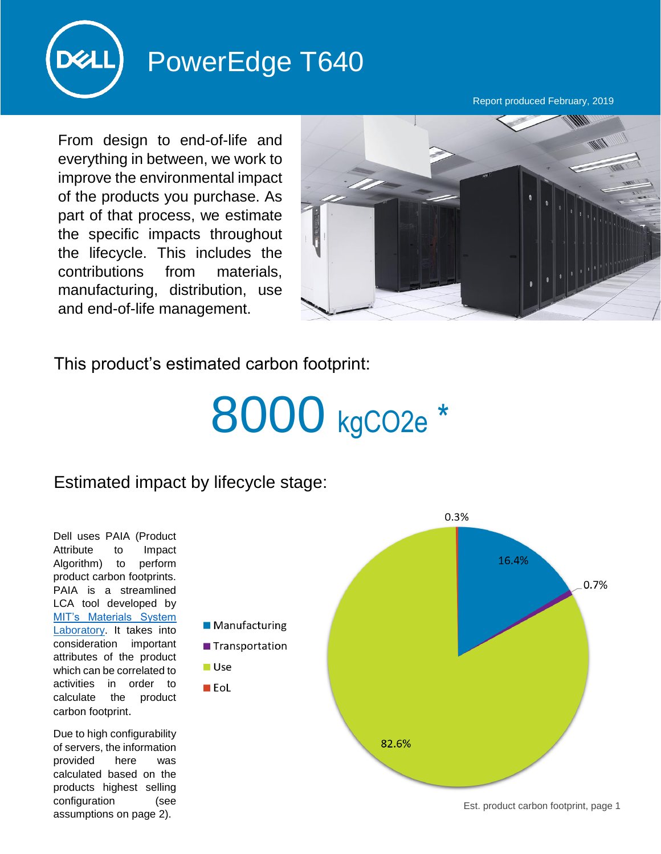

## PowerEdge T640

Report produced February, 2019

From design to end-of-life and everything in between, we work to improve the environmental impact of the products you purchase. As part of that process, we estimate the specific impacts throughout the lifecycle. This includes the contributions from materials, manufacturing, distribution, use and end-of-life management.



This product's estimated carbon footprint:

## 8000 kgCO2e \*

## Estimated impact by lifecycle stage:

**■Use**  $\blacksquare$  EoL

Dell uses PAIA (Product Attribute to Impact Algorithm) to perform product carbon footprints. PAIA is a streamlined LCA tool developed by [MIT's Materials System](http://msl.mit.edu/projects/paia/main.html)  [Laboratory.](http://msl.mit.edu/projects/paia/main.html) It takes into consideration important attributes of the product which can be correlated to activities in order to calculate the product carbon footprint.

Due to high configurability of servers, the information provided here was calculated based on the products highest selling configuration (see assumptions on page 2).